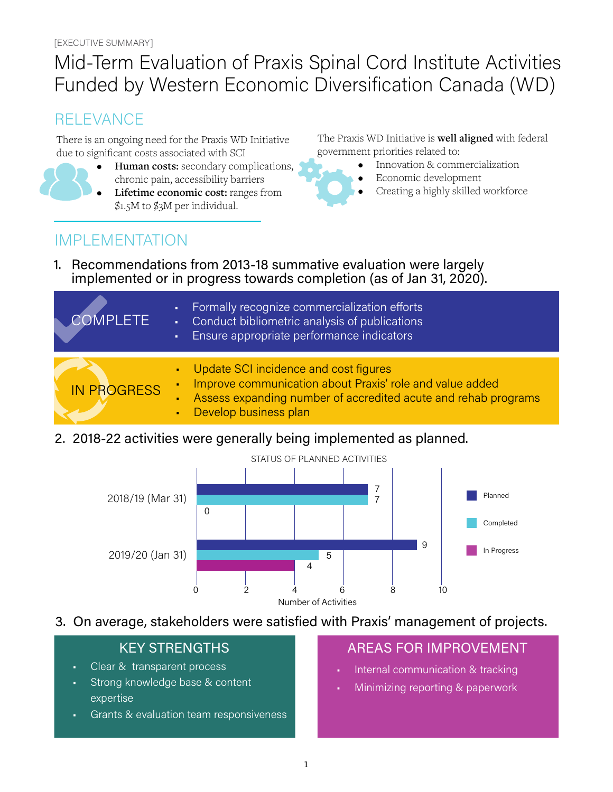# Mid-Term Evaluation of Praxis Spinal Cord Institute Activities Funded by Western Economic Diversification Canada (WD)

## RELEVANCE

There is an ongoing need for the Praxis WD Initiative due to significant costs associated with SCI



- **• Human costs:** secondary complications, chronic pain, accessibility barriers
- **• Lifetime economic cost:** ranges from \$1.5M to \$3M per individual.

The Praxis WD Initiative is **well aligned** with federal government priorities related to:

- Innovation & commercialization
- Economic development
- Creating a highly skilled workforce

## IMPLEMENTATION

1. Recommendations from 2013-18 summative evaluation were largely implemented or in progress towards completion (as of Jan 31, 2020).

| <b>COMPLETE</b>    | Formally recognize commercialization efforts<br>$\mathbf{r}$ .<br>Conduct bibliometric analysis of publications<br>$\mathbf{u}$ .<br>Ensure appropriate performance indicators<br>a. |
|--------------------|--------------------------------------------------------------------------------------------------------------------------------------------------------------------------------------|
| <b>IN PROGRESS</b> | Update SCI incidence and cost figures<br>ä,<br>Improve communication about Praxis' role and value added<br>Assess expanding number of accredited acute and rehab programs<br>٠       |
|                    | Develop business plan<br>×.                                                                                                                                                          |

2. 2018-22 activities were generally being implemented as planned.



3. On average, stakeholders were satisfied with Praxis' management of projects.

- Clear & transparent process
- Strong knowledge base & content expertise
- Grants & evaluation team responsiveness

### KEY STRENGTHS AREAS FOR IMPROVEMENT

- Internal communication & tracking
- Minimizing reporting & paperwork